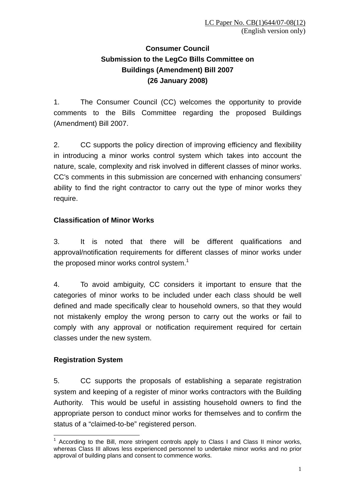# **Consumer Council Submission to the LegCo Bills Committee on Buildings (Amendment) Bill 2007 (26 January 2008)**

1. The Consumer Council (CC) welcomes the opportunity to provide comments to the Bills Committee regarding the proposed Buildings (Amendment) Bill 2007.

2. CC supports the policy direction of improving efficiency and flexibility in introducing a minor works control system which takes into account the nature, scale, complexity and risk involved in different classes of minor works. CC's comments in this submission are concerned with enhancing consumers' ability to find the right contractor to carry out the type of minor works they require.

## **Classification of Minor Works**

3. It is noted that there will be different qualifications and approval/notification requirements for different classes of minor works under the proposed minor works control system.<sup>1</sup>

4. To avoid ambiguity, CC considers it important to ensure that the categories of minor works to be included under each class should be well defined and made specifically clear to household owners, so that they would not mistakenly employ the wrong person to carry out the works or fail to comply with any approval or notification requirement required for certain classes under the new system.

### **Registration System**

5. CC supports the proposals of establishing a separate registration system and keeping of a register of minor works contractors with the Building Authority. This would be useful in assisting household owners to find the appropriate person to conduct minor works for themselves and to confirm the status of a "claimed-to-be" registered person.

 $\overline{a}$ <sup>1</sup> According to the Bill, more stringent controls apply to Class I and Class II minor works, whereas Class III allows less experienced personnel to undertake minor works and no prior approval of building plans and consent to commence works.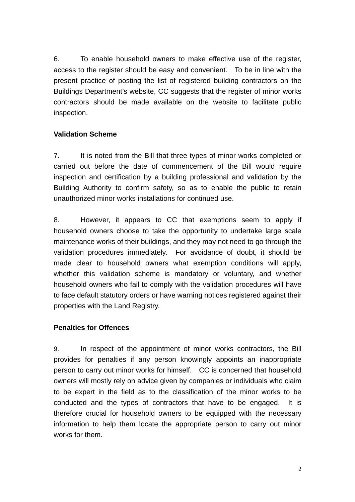6. To enable household owners to make effective use of the register, access to the register should be easy and convenient. To be in line with the present practice of posting the list of registered building contractors on the Buildings Department's website, CC suggests that the register of minor works contractors should be made available on the website to facilitate public inspection.

#### **Validation Scheme**

7. It is noted from the Bill that three types of minor works completed or carried out before the date of commencement of the Bill would require inspection and certification by a building professional and validation by the Building Authority to confirm safety, so as to enable the public to retain unauthorized minor works installations for continued use.

8. However, it appears to CC that exemptions seem to apply if household owners choose to take the opportunity to undertake large scale maintenance works of their buildings, and they may not need to go through the validation procedures immediately. For avoidance of doubt, it should be made clear to household owners what exemption conditions will apply, whether this validation scheme is mandatory or voluntary, and whether household owners who fail to comply with the validation procedures will have to face default statutory orders or have warning notices registered against their properties with the Land Registry.

#### **Penalties for Offences**

9. In respect of the appointment of minor works contractors, the Bill provides for penalties if any person knowingly appoints an inappropriate person to carry out minor works for himself. CC is concerned that household owners will mostly rely on advice given by companies or individuals who claim to be expert in the field as to the classification of the minor works to be conducted and the types of contractors that have to be engaged. It is therefore crucial for household owners to be equipped with the necessary information to help them locate the appropriate person to carry out minor works for them.